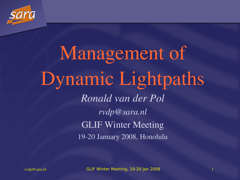

## Management of Dynamic Lightpaths *Ronald van der Pol rvdp@sara.nl* GLIF Winter Meeting 1920 January 2008, Honolulu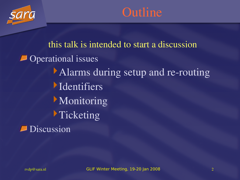

#### **Outline**

this talk is intended to start a discussion Operational issues Alarms during setup and re-routing **Identifiers Monitoring Ticketing Discussion**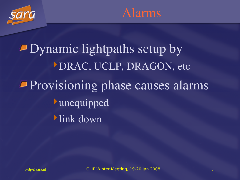



Dynamic lightpaths setup by DRAC, UCLP, DRAGON, etc Provisioning phase causes alarms unequipped link down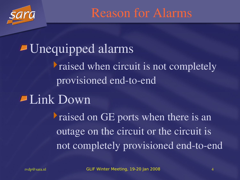

Reason for Alarms

Unequipped alarms raised when circuit is not completely provisioned end-to-end Link Down raised on GE ports when there is an outage on the circuit or the circuit is not completely provisioned end-to-end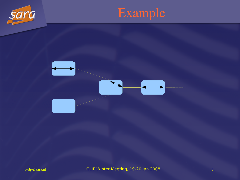



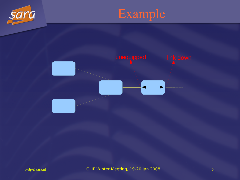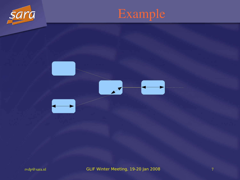



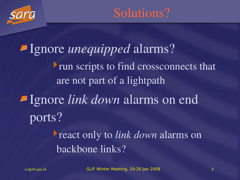

Ignore *unequipped* alarms? run scripts to find crossconnects that are not part of a lightpath Ignore *link down* alarms on end ports? react only to *link down* alarms on backbone links?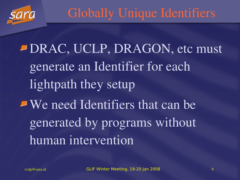

### Globally Unique Identifiers

DRAC, UCLP, DRAGON, etc must generate an Identifier for each lightpath they setup We need Identifiers that can be generated by programs without human intervention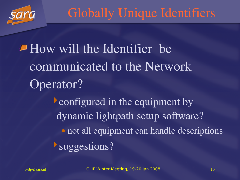

### Globally Unique Identifiers

How will the Identifier be communicated to the Network Operator? **Configured in the equipment by** dynamic lightpath setup software? • not all equipment can handle descriptions suggestions?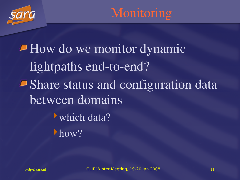

**Monitoring** 

How do we monitor dynamic lightpaths end-to-end? Share status and configuration data between domains which data? how?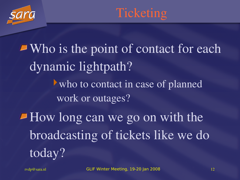



Who is the point of contact for each dynamic lightpath? who to contact in case of planned work or outages? How long can we go on with the broadcasting of tickets like we do today?